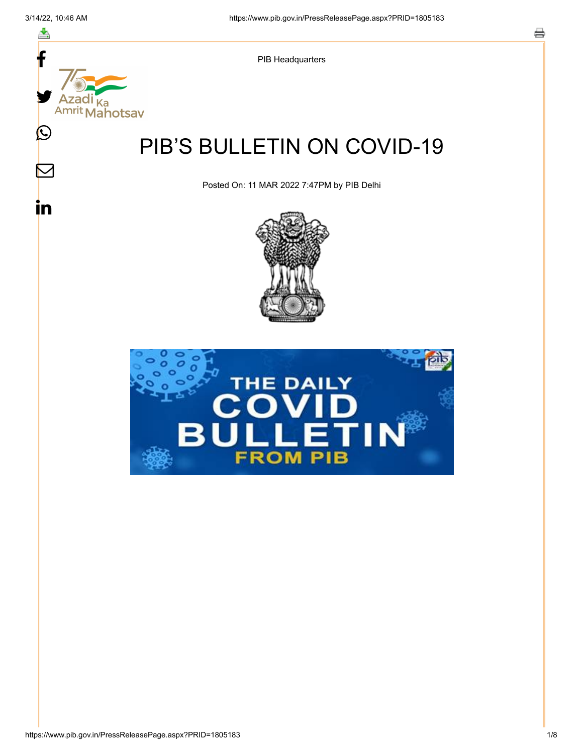스

 $\mathbb{\mathsf{M}}$ 

in



PIB Headquarters

# PIB'S BULLETIN ON COVID-19

Posted On: 11 MAR 2022 7:47PM by PIB Delhi



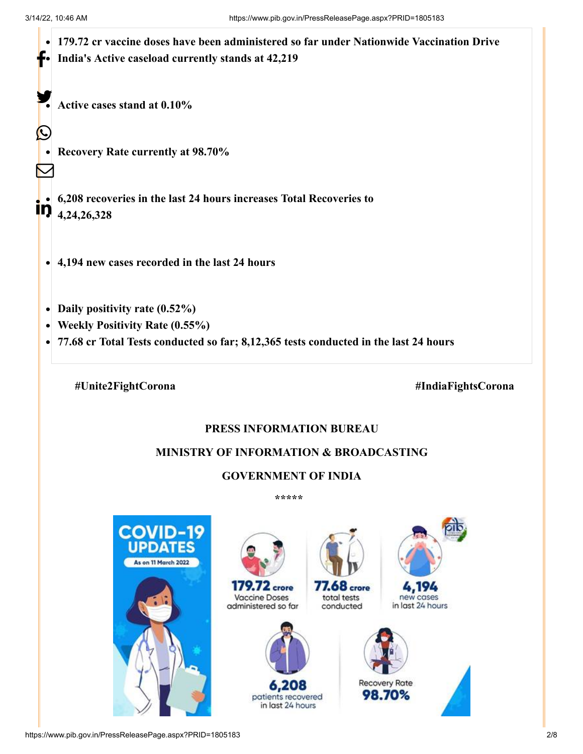

### **MINISTRY OF INFORMATION & BROADCASTING**

## **GOVERNMENT OF INDIA**

**\*\*\*\*\*** 

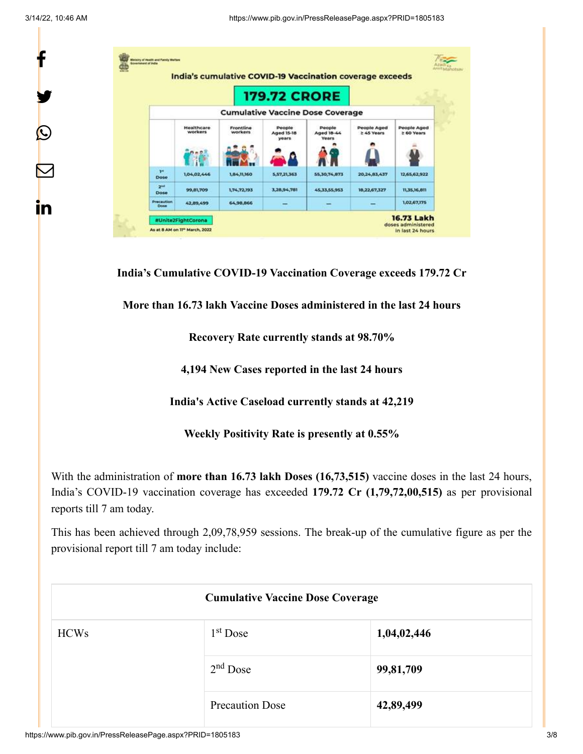f

y.

 $\bm{\mathcal{Q}}$ 

 $\bm{\nabla}$ 

in

|                           |                       |                      | India's cumulative COVID-19 Vaccination coverage exceeds |                                         |                           |                           |
|---------------------------|-----------------------|----------------------|----------------------------------------------------------|-----------------------------------------|---------------------------|---------------------------|
|                           |                       |                      | <b>179.72 CRORE</b>                                      |                                         |                           |                           |
|                           |                       |                      |                                                          | <b>Cumulative Vaccine Dose Coverage</b> |                           |                           |
|                           | Healthcare<br>workers | Frontline<br>workers | People<br>Aged 15-18<br>years                            | People<br>Aged 18-44<br><b>Years</b>    | People Aged<br>2 45 Years | People Aged<br>≥ 60 Years |
| <b>TH</b><br>Dose         | 1,04,02,446           | 1,84,11,160          | 5,57,21,363                                              | 55,30,74,873                            | 20,24,83,437              | 12,65,62,922              |
| 2 <sup>nd</sup><br>Dose   | 99,81,709             | 1,74,72,193          | 3,28,94,781                                              | 45.33.55,953                            | 18.22.67.327              | 11,35,16,811              |
| Precaution<br><b>Dose</b> | 42,89,499             | 64,98,866            |                                                          | $\overline{\phantom{a}}$                |                           | 1,02,67,175               |

**India's Cumulative COVID-19 Vaccination Coverage exceeds 179.72 Cr**

**More than 16.73 lakh Vaccine Doses administered in the last 24 hours**

**Recovery Rate currently stands at 98.70%**

**4,194 New Cases reported in the last 24 hours**

**India's Active Caseload currently stands at 42,219**

**Weekly Positivity Rate is presently at 0.55%**

With the administration of **more than 16.73 lakh Doses (16,73,515)** vaccine doses in the last 24 hours, India's COVID-19 vaccination coverage has exceeded **179.72 Cr (1,79,72,00,515)** as per provisional reports till 7 am today.

This has been achieved through 2,09,78,959 sessions. The break-up of the cumulative figure as per the provisional report till 7 am today include:

| <b>Cumulative Vaccine Dose Coverage</b> |                        |             |  |  |
|-----------------------------------------|------------------------|-------------|--|--|
| <b>HCWs</b>                             | $1st$ Dose             | 1,04,02,446 |  |  |
|                                         | $2nd$ Dose             | 99,81,709   |  |  |
|                                         | <b>Precaution Dose</b> | 42,89,499   |  |  |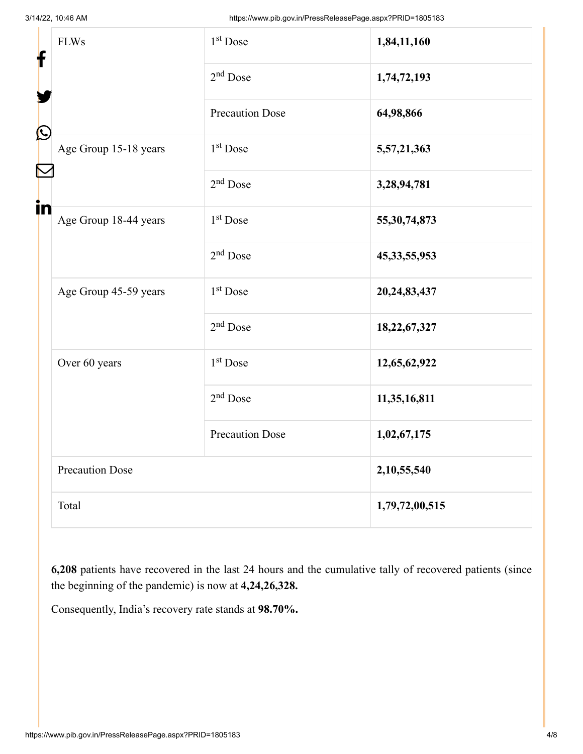| f  | <b>FLWs</b>            | 1 <sup>st</sup> Dose   | 1,84,11,160     |
|----|------------------------|------------------------|-----------------|
|    |                        | $2nd$ Dose             | 1,74,72,193     |
| C  |                        | <b>Precaution Dose</b> | 64,98,866       |
|    | Age Group 15-18 years  | 1 <sup>st</sup> Dose   | 5,57,21,363     |
| N  |                        | $2nd$ Dose             | 3,28,94,781     |
| in | Age Group 18-44 years  | 1 <sup>st</sup> Dose   | 55, 30, 74, 873 |
|    |                        | $2nd$ Dose             | 45, 33, 55, 953 |
|    | Age Group 45-59 years  | 1 <sup>st</sup> Dose   | 20,24,83,437    |
|    |                        | $2nd$ Dose             | 18,22,67,327    |
|    | Over 60 years          | 1 <sup>st</sup> Dose   | 12,65,62,922    |
|    |                        | $2nd$ Dose             | 11,35,16,811    |
|    |                        | <b>Precaution Dose</b> | 1,02,67,175     |
|    | <b>Precaution Dose</b> | 2,10,55,540            |                 |
|    | Total                  | 1,79,72,00,515         |                 |

**6,208** patients have recovered in the last 24 hours and the cumulative tally of recovered patients (since the beginning of the pandemic) is now at **4,24,26,328.**

Consequently, India's recovery rate stands at **98.70%.**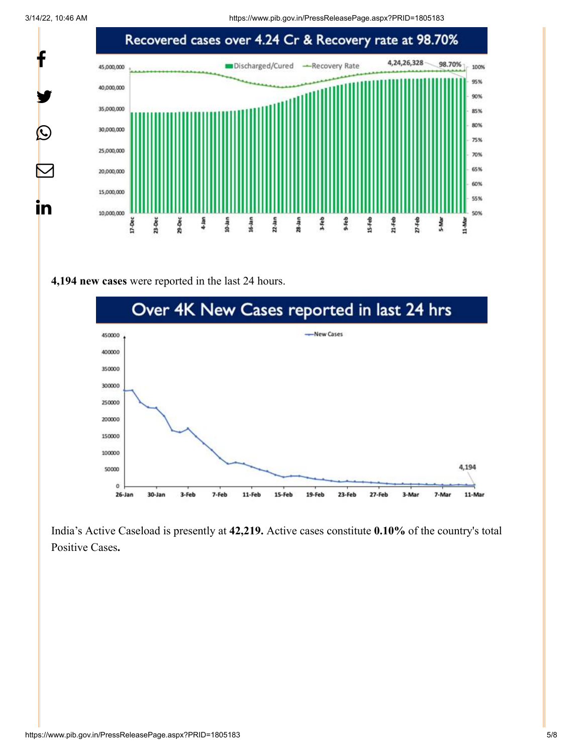3/14/22, 10:46 AM https://www.pib.gov.in/PressReleasePage.aspx?PRID=1805183



#### **4,194 new cases** were reported in the last 24 hours.



India's Active Caseload is presently at **42,219.** Active cases constitute **0.10%** of the country's total Positive Cases**.**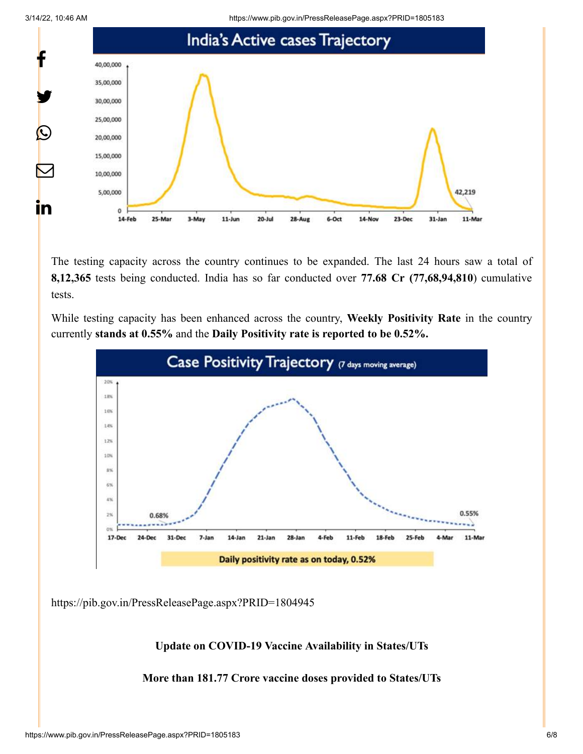3/14/22, 10:46 AM https://www.pib.gov.in/PressReleasePage.aspx?PRID=1805183



The testing capacity across the country continues to be expanded. The last 24 hours saw a total of **8,12,365** tests being conducted. India has so far conducted over **77.68 Cr (77,68,94,810**) cumulative tests.

While testing capacity has been enhanced across the country, **Weekly Positivity Rate** in the country currently **stands at 0.55%** and the **Daily Positivity rate is reported to be 0.52%.**



<https://pib.gov.in/PressReleasePage.aspx?PRID=1804945>

#### **Update on COVID-19 Vaccine Availability in States/UTs**

**More than 181.77 Crore vaccine doses provided to States/UTs**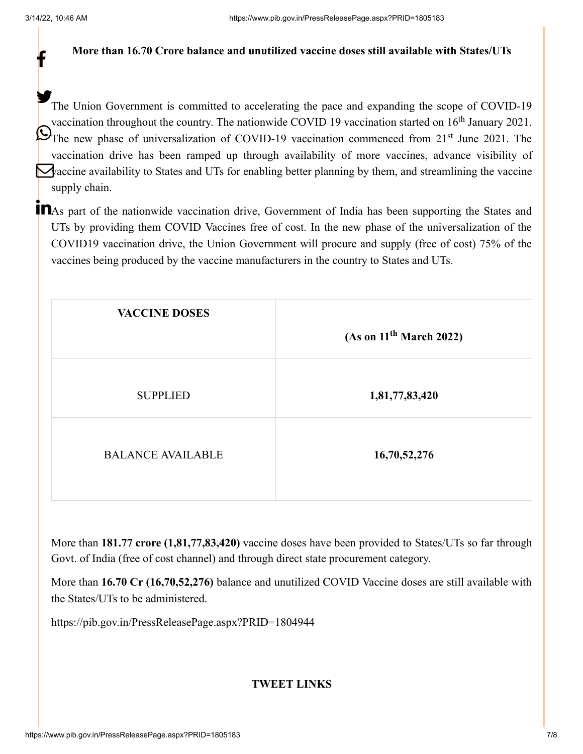f

#### **More than 16.70 Crore balance and unutilized vaccine doses still available with States/UTs**

The Union Government is committed to accelerating the pace and expanding the scope of COVID-19 vaccination throughout the country. The nationwide COVID 19 vaccination started on  $16<sup>th</sup>$  January 2021. The new phase of universalization of COVID-19 vaccination commenced from  $21<sup>st</sup>$  June 2021. The vaccination drive has been ramped up through availability of more vaccines, advance visibility of Vaccine availability to States and UTs for enabling better planning by them, and streamlining the vaccine supply chain.

**T** As part of the nationwide vaccination drive, Government of India has been supporting the States and UTs by providing them COVID Vaccines free of cost. In the new phase of the universalization of the COVID19 vaccination drive, the Union Government will procure and supply (free of cost) 75% of the vaccines being produced by the vaccine manufacturers in the country to States and UTs.

| <b>VACCINE DOSES</b>     | (As on 11 <sup>th</sup> March 2022) |
|--------------------------|-------------------------------------|
| <b>SUPPLIED</b>          | 1,81,77,83,420                      |
| <b>BALANCE AVAILABLE</b> | 16,70,52,276                        |

More than **181.77 crore (1,81,77,83,420)** vaccine doses have been provided to States/UTs so far through Govt. of India (free of cost channel) and through direct state procurement category.

More than **16.70 Cr (16,70,52,276)** balance and unutilized COVID Vaccine doses are still available with the States/UTs to be administered.

<https://pib.gov.in/PressReleasePage.aspx?PRID=1804944>

#### **TWEET LINKS**